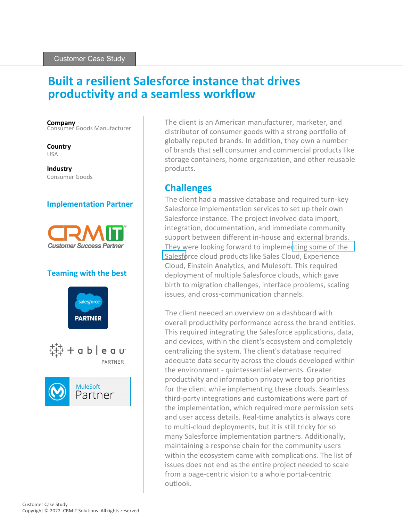# **Built a resilient Salesforce instance that drives productivity and a seamless workflow**

**Company** Consumer Goods Manufacturer

**Country** USA

**Industry** Consumer Goods

### **Implementation Partner**



#### **Teaming with the best**



The client is an American manufacturer, marketer, and distributor of consumer goods with a strong portfolio of globally reputed brands. In addition, they own a number of brands that sell consumer and commercial products like storage containers, home organization, and other reusable products.

## **Challenges**

The client had a massive database and required turn-key Salesforce implementation services to set up their own Salesforce instance. The project involved data import, integration, documentation, and immediate community support between different in-house and external brands. They were looking forward to impleme[nting some of the](http://crmit.com/salesforce/service-cloud-consulting.html)  [Salesfo](http://crmit.com/salesforce/service-cloud-consulting.html)rce cloud products like Sales Cloud, Experience Cloud, Einstein Analytics, and Mulesoft. This required deployment of multiple Salesforce clouds, which gave birth to migration challenges, interface problems, scaling issues, and cross-communication channels.

The client needed an overview on a dashboard with overall productivity performance across the brand entities. This required integrating the Salesforce applications, data, and devices, within the client's ecosystem and completely centralizing the system. The client's database required adequate data security across the clouds developed within the environment - quintessential elements. Greater productivity and information privacy were top priorities for the client while implementing these clouds. Seamless third-party integrations and customizations were part of the implementation, which required more permission sets and user access details. Real-time analytics is always core to multi-cloud deployments, but it is still tricky for so many Salesforce implementation partners. Additionally, maintaining a response chain for the community users within the ecosystem came with complications. The list of issues does not end as the entire project needed to scale from a page-centric vision to a whole portal-centric outlook.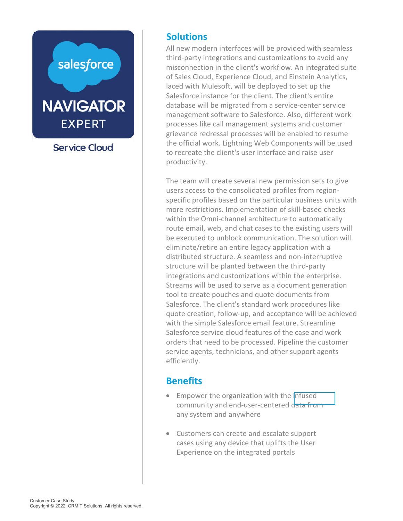

.<br>grievance redressal processes will be enabled to resume All new modern interfaces will be provided with seamless third-party integrations and customizations to avoid any misconnection in the client's workflow. An integrated suite of Sales Cloud, Experience Cloud, and Einstein Analytics, laced with Mulesoft, will be deployed to set up the Salesforce instance for the client. The client's entire database will be migrated from a service-center service management software to Salesforce. Also, different work processes like call management systems and customer the official work. Lightning Web Components will be used to recreate the client's user interface and raise user productivity.

more restrictions. Implementation of skill-based checks within the Omni-channel architecture to automatically route email, web, and chat cases to the existing users will structure will be planted between the third-party integrations and customizations within the enterprise. tool to create pouches and quote documents from Salesforce. The client's standard work procedures like quote creation, follow-up, and acceptance will be achieved with the simple Salesforce email feature. Streamline Salesforce service cloud features of the case and work orders that need to be processed. Pipeline the customer mail, web, and chat cases to<br>tred to unblock communicate/retire an entire legacy app<br>ted structure. A seamless an<br>re will be planted between the<br>sions and customizations with<br>similar be used to serve as a do<br>create pouches Streams will be used to serve as a document generation channel architecture<br>o, and chat cases to the<br>inblock communicatio<br>an entire legacy applic<br>ture. A seamless and r<br>planted between the<br>customizations within<br>used to serve as a docu<br>uches and quote docu **Solutions**<br>
All new mode<br>
third-party ir<br>
misconnectic<br>
of Sales Clou<br>
laced with M<br>
Salesforce in<br>
database will<br>
management<br>
processes lik<br>
grievance ree<br>
the official w<br>
to recreate the productivity.<br>
The team will<br>
us The team will create several new permission sets to give users access to the consolidated profiles from regionspecific profiles based on the particular business units with be executed to unblock communication. The solution will eliminate/retire an entire legacy application with a distributed structure. A seamless and non-interruptive service agents, technicians, and other support agents efficiently.

# **Benefits**

- Empower the organization with the [infused](https://www.crmit.com/salesforce/salesforce-integration.html) community and end-user-centered data from any system and anywhere
- Customers can create and escalate support cases using any device that uplifts the User Experience on the integrated portals